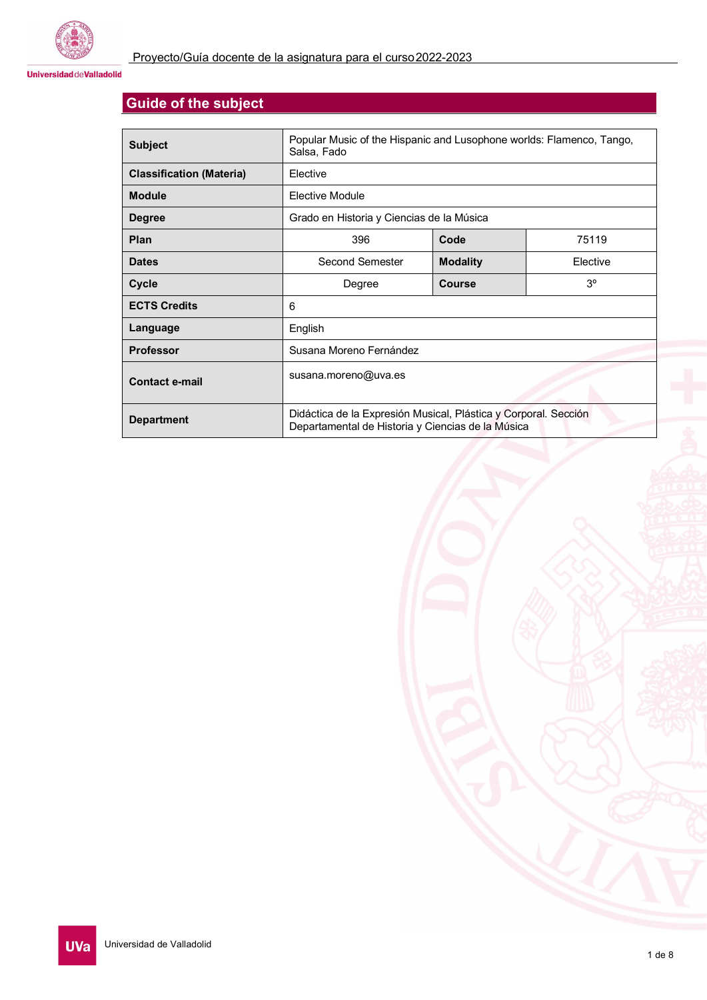

**Universidad de Valladolid** 

# **Guide of the subject**

| <b>Subject</b>                  | Popular Music of the Hispanic and Lusophone worlds: Flamenco, Tango,<br>Salsa, Fado                                  |                 |             |  |
|---------------------------------|----------------------------------------------------------------------------------------------------------------------|-----------------|-------------|--|
| <b>Classification (Materia)</b> | Elective                                                                                                             |                 |             |  |
| <b>Module</b>                   | Elective Module                                                                                                      |                 |             |  |
| <b>Degree</b>                   | Grado en Historia y Ciencias de la Música                                                                            |                 |             |  |
| Plan                            | 396                                                                                                                  | Code            | 75119       |  |
| <b>Dates</b>                    | Second Semester                                                                                                      | <b>Modality</b> | Elective    |  |
| <b>Cycle</b>                    | Degree                                                                                                               | Course          | $3^{\circ}$ |  |
| <b>ECTS Credits</b>             | 6                                                                                                                    |                 |             |  |
| Language                        | English                                                                                                              |                 |             |  |
| <b>Professor</b>                | Susana Moreno Fernández                                                                                              |                 |             |  |
| <b>Contact e-mail</b>           | susana.moreno@uva.es                                                                                                 |                 |             |  |
| <b>Department</b>               | Didáctica de la Expresión Musical, Plástica y Corporal. Sección<br>Departamental de Historia y Ciencias de la Música |                 |             |  |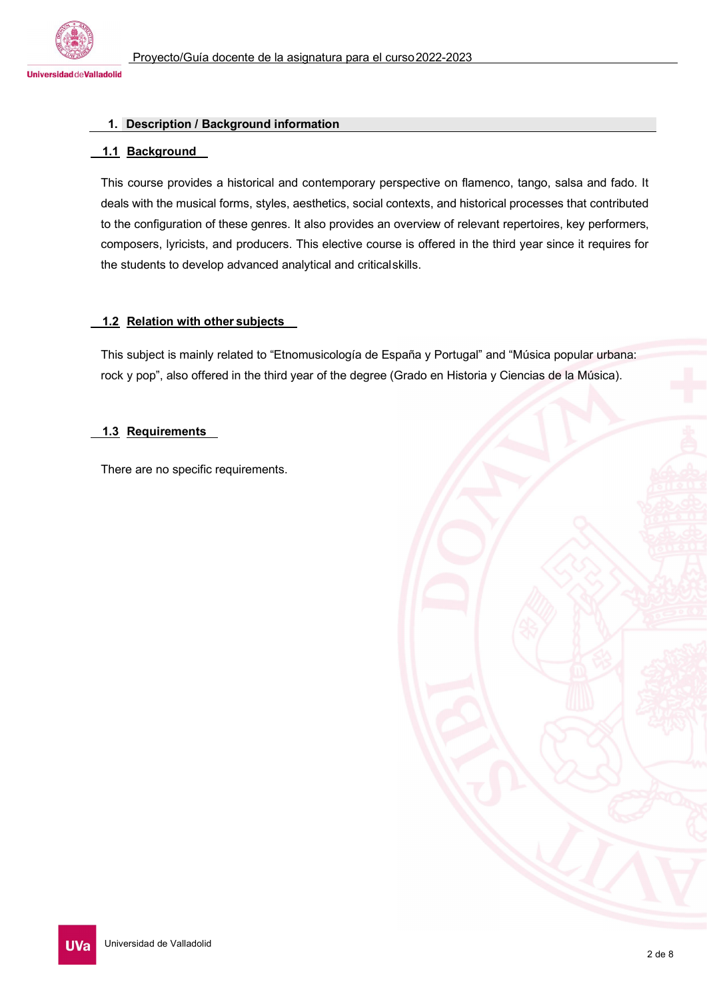

# **1. Description / Background information**

# **1.1 Background**

This course provides a historical and contemporary perspective on flamenco, tango, salsa and fado. It deals with the musical forms, styles, aesthetics, social contexts, and historical processes that contributed to the configuration of these genres. It also provides an overview of relevant repertoires, key performers, composers, lyricists, and producers. This elective course is offered in the third year since it requires for the students to develop advanced analytical and criticalskills.

# **1.2 Relation with other subjects**

This subject is mainly related to "Etnomusicología de España y Portugal" and "Música popular urbana: rock y pop", also offered in the third year of the degree (Grado en Historia y Ciencias de la Música).

# **1.3 Requirements**

There are no specific requirements.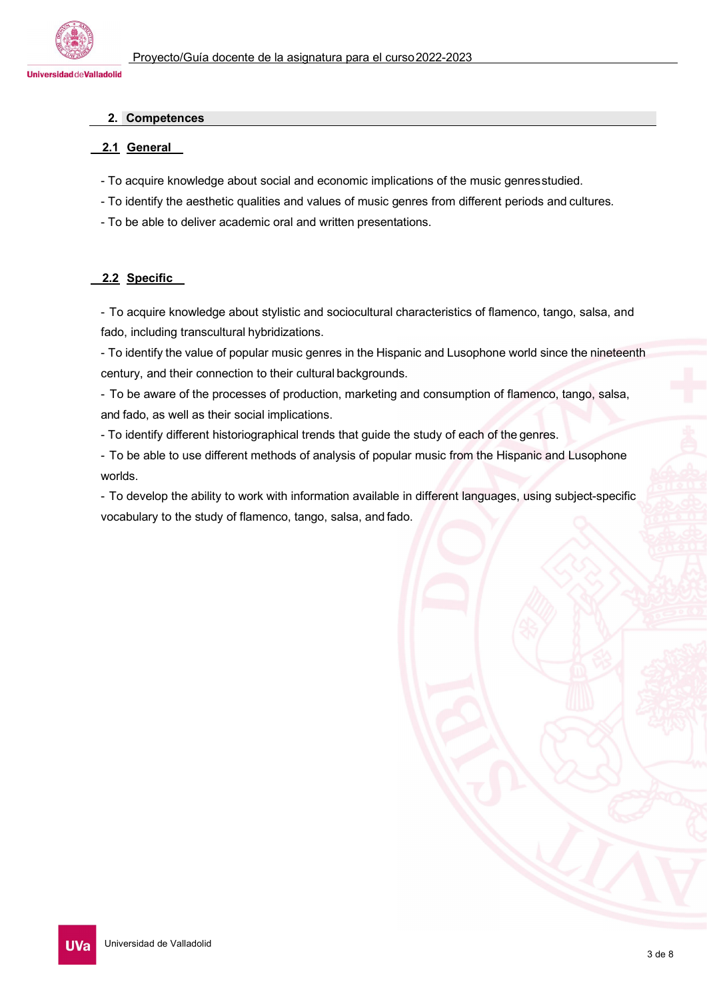

### **2. Competences**

# **2.1 General**

- To acquire knowledge about social and economic implications of the music genresstudied.
- To identify the aesthetic qualities and values of music genres from different periods and cultures.
- To be able to deliver academic oral and written presentations.

# **2.2 Specific**

- To acquire knowledge about stylistic and sociocultural characteristics of flamenco, tango, salsa, and fado, including transcultural hybridizations.

- To identify the value of popular music genres in the Hispanic and Lusophone world since the nineteenth century, and their connection to their cultural backgrounds.

- To be aware of the processes of production, marketing and consumption of flamenco, tango, salsa, and fado, as well as their social implications.

- To identify different historiographical trends that guide the study of each of the genres.

- To be able to use different methods of analysis of popular music from the Hispanic and Lusophone worlds.

- To develop the ability to work with information available in different languages, using subject-specific vocabulary to the study of flamenco, tango, salsa, and fado.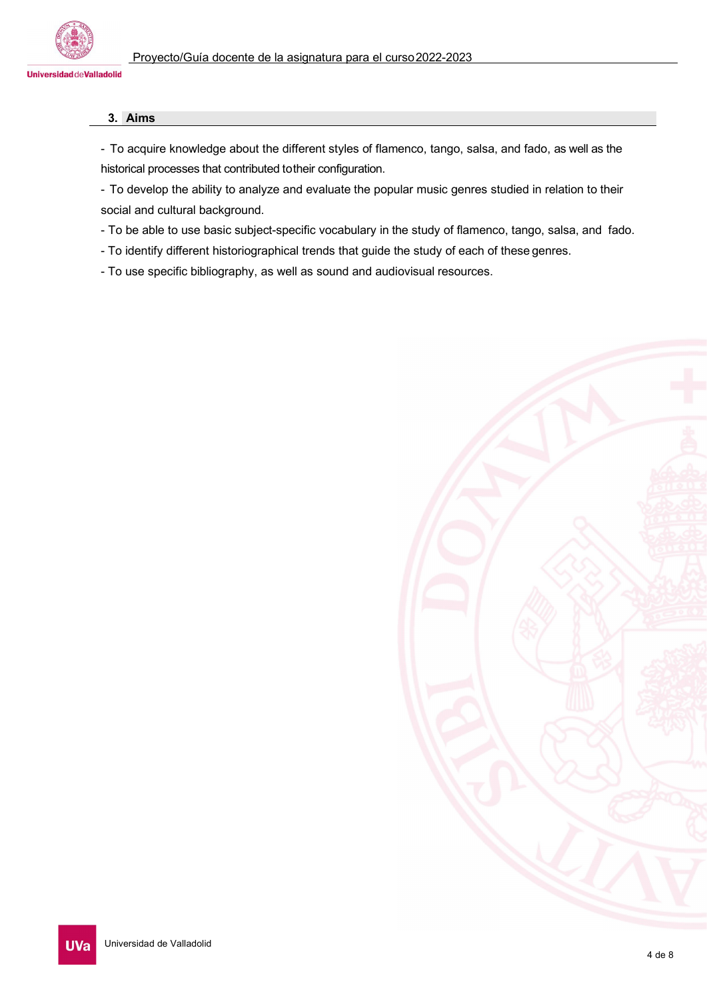

# **3. Aims**

- To acquire knowledge about the different styles of flamenco, tango, salsa, and fado, as well as the historical processes that contributed totheir configuration.

- To develop the ability to analyze and evaluate the popular music genres studied in relation to their social and cultural background.
- To be able to use basic subject-specific vocabulary in the study of flamenco, tango, salsa, and fado.
- To identify different historiographical trends that guide the study of each of these genres.
- To use specific bibliography, as well as sound and audiovisual resources.

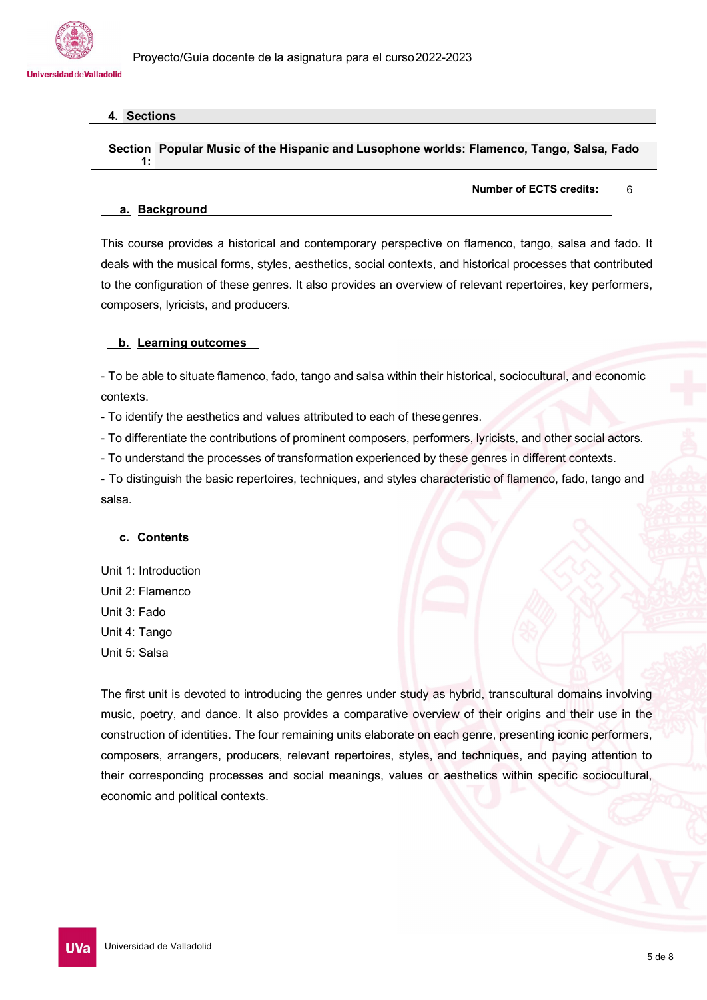

# **4. Sections**

**1:**

### **Section Popular Music of the Hispanic and Lusophone worlds: Flamenco, Tango, Salsa, Fado**

**Number of ECTS credits:** 6

#### **a. Background**

This course provides a historical and contemporary perspective on flamenco, tango, salsa and fado. It deals with the musical forms, styles, aesthetics, social contexts, and historical processes that contributed to the configuration of these genres. It also provides an overview of relevant repertoires, key performers, composers, lyricists, and producers.

### **b. Learning outcomes**

- To be able to situate flamenco, fado, tango and salsa within their historical, sociocultural, and economic contexts.

- To identify the aesthetics and values attributed to each of thesegenres.

- To differentiate the contributions of prominent composers, performers, lyricists, and other social actors.

- To understand the processes of transformation experienced by these genres in different contexts.

- To distinguish the basic repertoires, techniques, and styles characteristic of flamenco, fado, tango and salsa.

# **c. Contents**

Unit 1: Introduction Unit 2: Flamenco Unit 3: Fado Unit 4: Tango Unit 5: Salsa

The first unit is devoted to introducing the genres under study as hybrid, transcultural domains involving music, poetry, and dance. It also provides a comparative overview of their origins and their use in the construction of identities. The four remaining units elaborate on each genre, presenting iconic performers, composers, arrangers, producers, relevant repertoires, styles, and techniques, and paying attention to their corresponding processes and social meanings, values or aesthetics within specific sociocultural, economic and political contexts.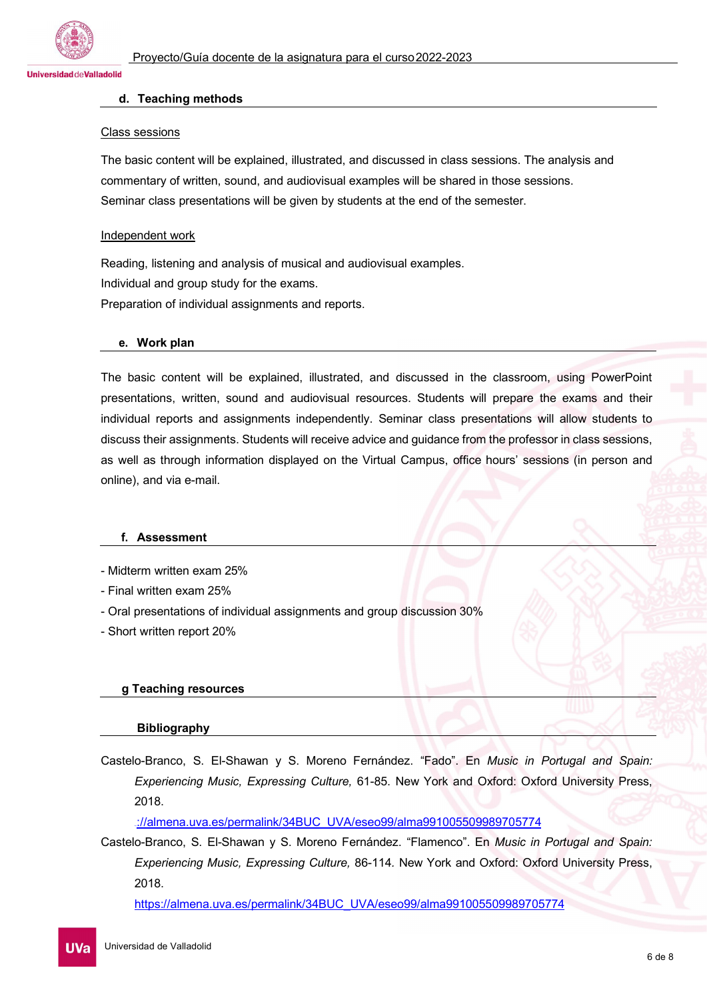

#### **d. Teaching methods**

#### Class sessions

The basic content will be explained, illustrated, and discussed in class sessions. The analysis and commentary of written, sound, and audiovisual examples will be shared in those sessions. Seminar class presentations will be given by students at the end of the semester.

#### Independent work

Reading, listening and analysis of musical and audiovisual examples. Individual and group study for the exams. Preparation of individual assignments and reports.

#### **e. Work plan**

The basic content will be explained, illustrated, and discussed in the classroom, using PowerPoint presentations, written, sound and audiovisual resources. Students will prepare the exams and their individual reports and assignments independently. Seminar class presentations will allow students to discuss their assignments. Students will receive advice and guidance from the professor in class sessions, as well as through information displayed on the Virtual Campus, office hours' sessions (in person and online), and via e-mail.

#### **f. Assessment**

- Midterm written exam 25%

- Final written exam 25%
- Oral presentations of individual assignments and group discussion 30%
- Short written report 20%

#### **g Teaching resources**

#### **Bibliography**

Castelo-Branco, S. El-Shawan y S. Moreno Fernández. "Fado". En *Music in Portugal and Spain: Experiencing Music, Expressing Culture,* 61-85. New York and Oxford: Oxford University Press, 2018.

https[://almena.uva.es/permalink/34BUC\\_UVA/eseo99/alma991005509989705774](https://almena.uva.es/permalink/34BUC_UVA/eseo99/alma991005509989705774)

Castelo-Branco, S. El-Shawan y S. Moreno Fernández. "Flamenco". En *Music in Portugal and Spain: Experiencing Music, Expressing Culture,* 86-114*.* New York and Oxford: Oxford University Press, 2018.

[https://almena.uva.es/permalink/34BUC\\_UVA/eseo99/alma991005509989705774](https://almena.uva.es/permalink/34BUC_UVA/eseo99/alma991005509989705774)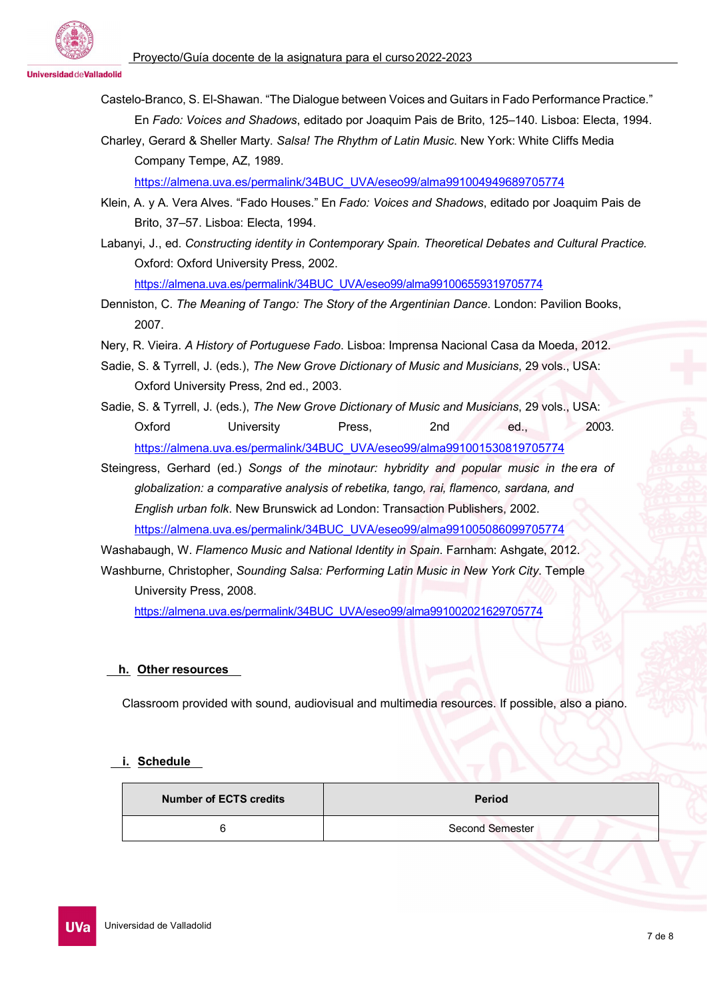**Universidad deValladolid** 

Castelo-Branco, S. El-Shawan. "The Dialogue between Voices and Guitars in Fado Performance Practice." En *Fado: Voices and Shadows*, editado por Joaquim Pais de Brito, 125–140. Lisboa: Electa, 1994.

Charley, Gerard & Sheller Marty. *Salsa! The Rhythm of Latin Music*. New York: White Cliffs Media Company Tempe, AZ, 1989.

[https://almena.uva.es/permalink/34BUC\\_UVA/eseo99/alma991004949689705774](https://almena.uva.es/permalink/34BUC_UVA/eseo99/alma991004949689705774)

- Klein, A. y A. Vera Alves. "Fado Houses." En *Fado: Voices and Shadows*, editado por Joaquim Pais de Brito, 37–57. Lisboa: Electa, 1994.
- Labanyi, J., ed. *Constructing identity in Contemporary Spain. Theoretical Debates and Cultural Practice.* Oxford: Oxford University Press, 2002.

[https://almena.uva.es/permalink/34BUC\\_UVA/eseo99/alma991006559319705774](https://almena.uva.es/permalink/34BUC_UVA/eseo99/alma991006559319705774)

- Denniston, C. *The Meaning of Tango: The Story of the Argentinian Dance*. London: Pavilion Books, 2007.
- Nery, R. Vieira. *A History of Portuguese Fado*. Lisboa: Imprensa Nacional Casa da Moeda, 2012.
- Sadie, S. & Tyrrell, J. (eds.), *The New Grove Dictionary of Music and Musicians*, 29 vols., USA: Oxford University Press, 2nd ed., 2003.
- Sadie, S. & Tyrrell, J. (eds.), *The New Grove Dictionary of Music and Musicians*, 29 vols., USA: Oxford University Press, 2nd ed., 2003. [https://almena.uva.es/permalink/34BUC\\_UVA/eseo99/alma991001530819705774](https://almena.uva.es/permalink/34BUC_UVA/eseo99/alma991001530819705774)
- Steingress, Gerhard (ed.) *Songs of the minotaur: hybridity and popular music in the era of globalization: a comparative analysis of rebetika, tango, rai, flamenco, sardana, and English urban folk*. New Brunswick ad London: Transaction Publishers, 2002. [https://almena.uva.es/permalink/34BUC\\_UVA/eseo99/alma991005086099705774](https://almena.uva.es/permalink/34BUC_UVA/eseo99/alma991005086099705774)

Washabaugh, W. *Flamenco Music and National Identity in Spain*. Farnham: Ashgate, 2012. [Washburne,](http://www.goodreads.com/author/show/2772912.Christopher_Washburne) Christopher, *Sounding Salsa: Performing Latin Music in New York City*. Temple University Press, 2008.

[https://almena.uva.es/permalink/34BUC\\_UVA/eseo99/alma991002021629705774](https://almena.uva.es/permalink/34BUC_UVA/eseo99/alma991002021629705774)

# **h. Other resources**

Classroom provided with sound, audiovisual and multimedia resources. If possible, also a piano.

# **i. Schedule**

| <b>Number of ECTS credits</b> | <b>Period</b>   |
|-------------------------------|-----------------|
|                               | Second Semester |